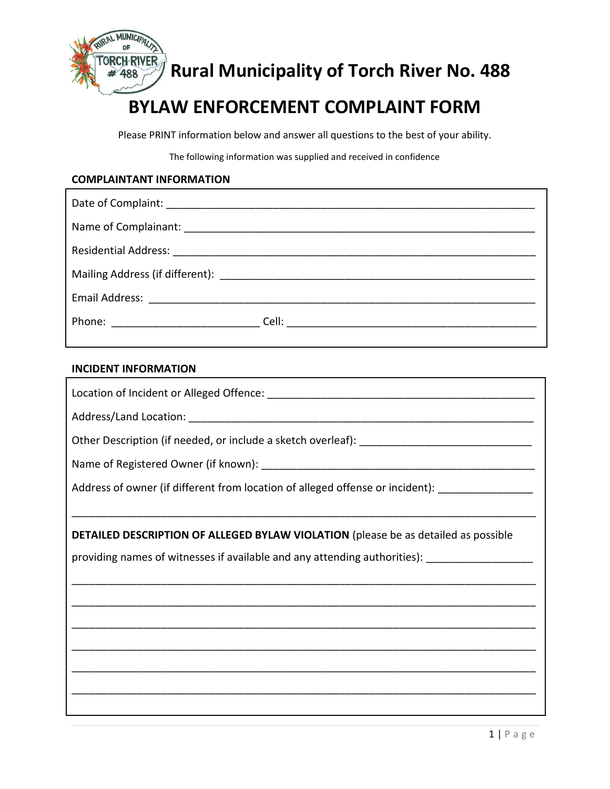

*ABBYER Rural Municipality of Torch River No. 488* 

# **BYLAW ENFORCEMENT COMPLAINT FORM**

Please PRINT information below and answer all questions to the best of your ability.

The following information was supplied and received in confidence

#### **COMPLAINTANT INFORMATION**

| Phone: __________________________________Cell: __________________________________ |
|-----------------------------------------------------------------------------------|

### **INCIDENT INFORMATION**

Г

| Address of owner (if different from location of alleged offense or incident): ____________________ |  |
|----------------------------------------------------------------------------------------------------|--|
|                                                                                                    |  |
| DETAILED DESCRIPTION OF ALLEGED BYLAW VIOLATION (please be as detailed as possible                 |  |
| providing names of witnesses if available and any attending authorities): ___________________      |  |
|                                                                                                    |  |
|                                                                                                    |  |
|                                                                                                    |  |
|                                                                                                    |  |
|                                                                                                    |  |
|                                                                                                    |  |
|                                                                                                    |  |